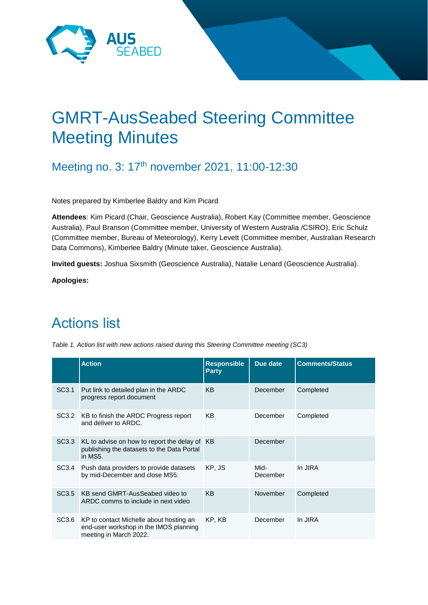

# GMRT-AusSeabed Steering Committee Meeting Minutes

Meeting no. 3: 17<sup>th</sup> november 2021, 11:00-12:30

Notes prepared by Kimberlee Baldry and Kim Picard

**Attendees**: Kim Picard (Chair, Geoscience Australia), Robert Kay (Committee member, Geoscience Australia), Paul Branson (Committee member, University of Western Australia /CSIRO), Eric Schulz (Committee member, Bureau of Meteorology), Kerry Levett (Committee member, Australian Research Data Commons), Kimberlee Baldry (Minute taker, Geoscience Australia).

**Invited guests:** Joshua Sixsmith (Geoscience Australia), Natalie Lenard (Geoscience Australia).

**Apologies:** 

# Actions list

|                   | <b>Action</b>                                                                                               | <b>Responsible</b><br><b>Party</b> | Due date         | <b>Comments/Status</b> |
|-------------------|-------------------------------------------------------------------------------------------------------------|------------------------------------|------------------|------------------------|
| SC <sub>3.1</sub> | Put link to detailed plan in the ARDC<br>progress report document                                           | <b>KB</b>                          | December         | Completed              |
| SC3.2             | KB to finish the ARDC Progress report<br>and deliver to ARDC.                                               | KB                                 | December         | Completed              |
| SC3.3             | KL to advise on how to report the delay of KB<br>publishing the datasets to the Data Portal<br>in MS5.      |                                    | December         |                        |
| SC3.4             | Push data providers to provide datasets<br>by mid-December and close MS5.                                   | KP, JS                             | Mid-<br>December | In JIRA                |
| SC3.5             | KB send GMRT-AusSeabed video to<br>ARDC comms to include in next video                                      | <b>KB</b>                          | November         | Completed              |
| SC3.6             | KP to contact Michelle about hosting an<br>end-user workshop in the IMOS planning<br>meeting in March 2022. | KP, KB                             | December         | In JIRA                |

*Table 1. Action list with new actions raised during this Steering Committee meeting (SC3)*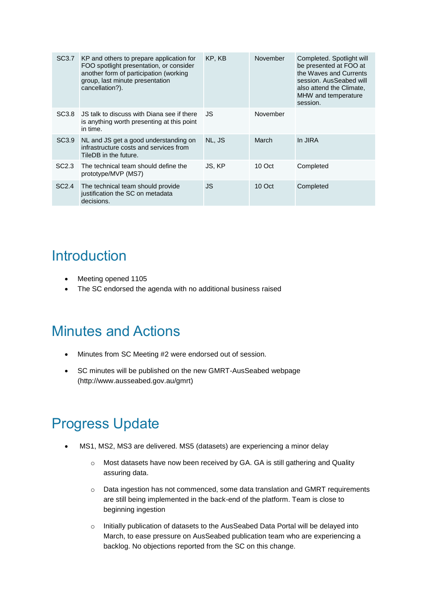| SC3.7             | KP and others to prepare application for<br>FOO spotlight presentation, or consider<br>another form of participation (working<br>group, last minute presentation<br>cancellation?). | KP, KB | November | Completed. Spotlight will<br>be presented at FOO at<br>the Waves and Currents<br>session. AusSeabed will<br>also attend the Climate,<br>MHW and temperature<br>session. |
|-------------------|-------------------------------------------------------------------------------------------------------------------------------------------------------------------------------------|--------|----------|-------------------------------------------------------------------------------------------------------------------------------------------------------------------------|
| SC3.8             | JS talk to discuss with Diana see if there<br>is anything worth presenting at this point<br>in time.                                                                                | JS     | November |                                                                                                                                                                         |
| SC <sub>3.9</sub> | NL and JS get a good understanding on<br>infrastructure costs and services from<br>TileDB in the future.                                                                            | NL, JS | March    | In JIRA                                                                                                                                                                 |
| SC2.3             | The technical team should define the<br>prototype/MVP (MS7)                                                                                                                         | JS, KP | 10 Oct   | Completed                                                                                                                                                               |
| SC <sub>2.4</sub> | The technical team should provide<br>justification the SC on metadata<br>decisions.                                                                                                 | JS     | 10 Oct   | Completed                                                                                                                                                               |

### **Introduction**

- Meeting opened 1105
- The SC endorsed the agenda with no additional business raised

### Minutes and Actions

- Minutes from SC Meeting #2 were endorsed out of session.
- SC minutes will be published on the new GMRT-AusSeabed webpage (http://www.ausseabed.gov.au/gmrt)

# Progress Update

- MS1, MS2, MS3 are delivered. MS5 (datasets) are experiencing a minor delay
	- o Most datasets have now been received by GA. GA is still gathering and Quality assuring data.
	- $\circ$  Data ingestion has not commenced, some data translation and GMRT requirements are still being implemented in the back-end of the platform. Team is close to beginning ingestion
	- o Initially publication of datasets to the AusSeabed Data Portal will be delayed into March, to ease pressure on AusSeabed publication team who are experiencing a backlog. No objections reported from the SC on this change.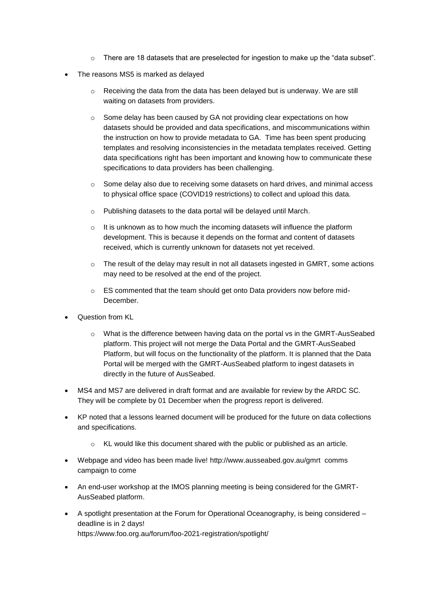- $\circ$  There are 18 datasets that are preselected for ingestion to make up the "data subset".
- The reasons MS5 is marked as delayed
	- Receiving the data from the data has been delayed but is underway. We are still waiting on datasets from providers.
	- $\circ$  Some delay has been caused by GA not providing clear expectations on how datasets should be provided and data specifications, and miscommunications within the instruction on how to provide metadata to GA. Time has been spent producing templates and resolving inconsistencies in the metadata templates received. Getting data specifications right has been important and knowing how to communicate these specifications to data providers has been challenging.
	- o Some delay also due to receiving some datasets on hard drives, and minimal access to physical office space (COVID19 restrictions) to collect and upload this data.
	- o Publishing datasets to the data portal will be delayed until March.
	- $\circ$  It is unknown as to how much the incoming datasets will influence the platform development. This is because it depends on the format and content of datasets received, which is currently unknown for datasets not yet received.
	- $\circ$  The result of the delay may result in not all datasets ingested in GMRT, some actions may need to be resolved at the end of the project.
	- o ES commented that the team should get onto Data providers now before mid-December.
- Question from KL
	- o What is the difference between having data on the portal vs in the GMRT-AusSeabed platform. This project will not merge the Data Portal and the GMRT-AusSeabed Platform, but will focus on the functionality of the platform. It is planned that the Data Portal will be merged with the GMRT-AusSeabed platform to ingest datasets in directly in the future of AusSeabed.
- MS4 and MS7 are delivered in draft format and are available for review by the ARDC SC. They will be complete by 01 December when the progress report is delivered.
- KP noted that a lessons learned document will be produced for the future on data collections and specifications.
	- KL would like this document shared with the public or published as an article.
- Webpage and video has been made live! <http://www.ausseabed.gov.au/gmrt> comms campaign to come
- An end-user workshop at the IMOS planning meeting is being considered for the GMRT-AusSeabed platform.
- A spotlight presentation at the Forum for Operational Oceanography, is being considered deadline is in 2 days! https://www.foo.org.au/forum/foo-2021-registration/spotlight/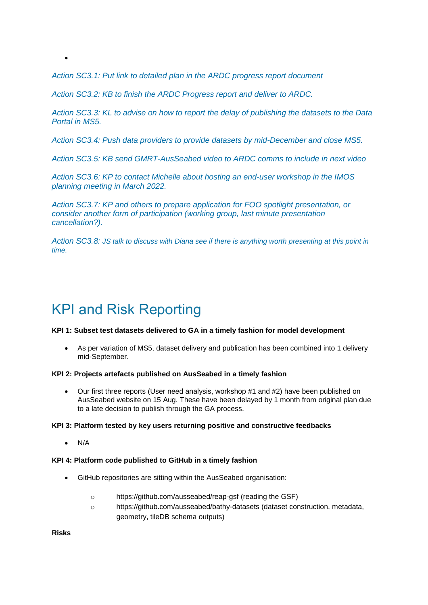*Action SC3.1: Put link to detailed plan in the ARDC progress report document*

*Action SC3.2: KB to finish the ARDC Progress report and deliver to ARDC.*

*Action SC3.3: KL to advise on how to report the delay of publishing the datasets to the Data Portal in MS5.*

*Action SC3.4: Push data providers to provide datasets by mid-December and close MS5.*

*Action SC3.5: KB send GMRT-AusSeabed video to ARDC comms to include in next video*

*Action SC3.6: KP to contact Michelle about hosting an end-user workshop in the IMOS planning meeting in March 2022.*

*Action SC3.7: KP and others to prepare application for FOO spotlight presentation, or consider another form of participation (working group, last minute presentation cancellation?).*

*Action SC3.8: JS talk to discuss with Diana see if there is anything worth presenting at this point in time.* 

# KPI and Risk Reporting

#### **KPI 1: Subset test datasets delivered to GA in a timely fashion for model development**

 As per variation of MS5, dataset delivery and publication has been combined into 1 delivery mid-September.

#### **KPI 2: Projects artefacts published on AusSeabed in a timely fashion**

 Our first three reports (User need analysis, workshop #1 and #2) have been published on AusSeabed website on 15 Aug. These have been delayed by 1 month from original plan due to a late decision to publish through the GA process.

#### **KPI 3: Platform tested by key users returning positive and constructive feedbacks**

N/A

 $\bullet$ 

#### **KPI 4: Platform code published to GitHub in a timely fashion**

- GitHub repositories are sitting within the AusSeabed organisation:
	- o https://github.com/ausseabed/reap-gsf (reading the GSF)
	- o https://github.com/ausseabed/bathy-datasets (dataset construction, metadata, geometry, tileDB schema outputs)

**Risks**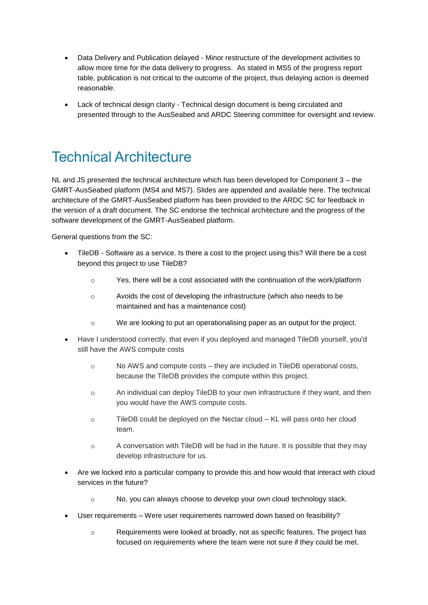- Data Delivery and Publication delayed Minor restructure of the development activities to allow more time for the data delivery to progress. As stated in MS5 of the progress report table, publication is not critical to the outcome of the project, thus delaying action is deemed reasonable.
- Lack of technical design clarity Technical design document is being circulated and presented through to the AusSeabed and ARDC Steering committee for oversight and review.

## Technical Architecture

NL and JS presented the technical architecture which has been developed for Component 3 – the GMRT-AusSeabed platform (MS4 and MS7). Slides are appended and available here. The technical architecture of the GMRT-AusSeabed platform has been provided to the ARDC SC for feedback in the version of a draft document. The SC endorse the technical architecture and the progress of the software development of the GMRT-AusSeabed platform.

General questions from the SC:

- TileDB Software as a service. Is there a cost to the project using this? Will there be a cost beyond this project to use TileDB?
	- o Yes, there will be a cost associated with the continuation of the work/platform
	- o Avoids the cost of developing the infrastructure (which also needs to be maintained and has a maintenance cost)
	- $\circ$  We are looking to put an operationalising paper as an output for the project.
- Have I understood correctly, that even if you deployed and managed TileDB yourself, you'd still have the AWS compute costs
	- $\circ$  No AWS and compute costs they are included in TileDB operational costs, because the TileDB provides the compute within this project.
	- $\circ$  An individual can deploy TileDB to your own infrastructure if they want, and then you would have the AWS compute costs.
	- o TileDB could be deployed on the Nectar cloud KL will pass onto her cloud team.
	- $\circ$  A conversation with TileDB will be had in the future. It is possible that they may develop infrastructure for us.
- Are we locked into a particular company to provide this and how would that interact with cloud services in the future?
	- o No, you can always choose to develop your own cloud technology stack.
- User requirements Were user requirements narrowed down based on feasibility?
	- o Requirements were looked at broadly, not as specific features. The project has focused on requirements where the team were not sure if they could be met.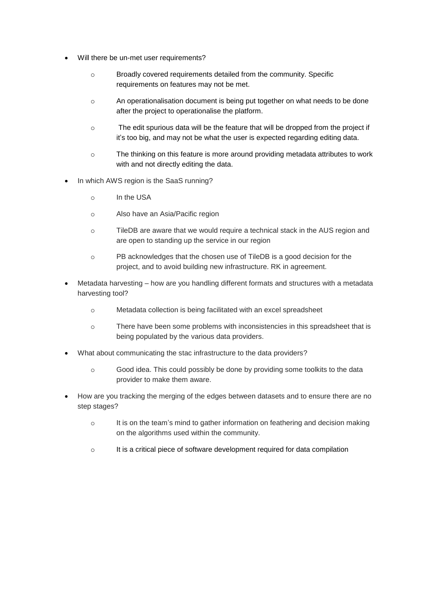- Will there be un-met user requirements?
	- o Broadly covered requirements detailed from the community. Specific requirements on features may not be met.
	- o An operationalisation document is being put together on what needs to be done after the project to operationalise the platform.
	- o The edit spurious data will be the feature that will be dropped from the project if it's too big, and may not be what the user is expected regarding editing data.
	- o The thinking on this feature is more around providing metadata attributes to work with and not directly editing the data.
- In which AWS region is the SaaS running?
	- o In the USA
	- o Also have an Asia/Pacific region
	- o TileDB are aware that we would require a technical stack in the AUS region and are open to standing up the service in our region
	- o PB acknowledges that the chosen use of TileDB is a good decision for the project, and to avoid building new infrastructure. RK in agreement.
- Metadata harvesting how are you handling different formats and structures with a metadata harvesting tool?
	- o Metadata collection is being facilitated with an excel spreadsheet
	- o There have been some problems with inconsistencies in this spreadsheet that is being populated by the various data providers.
- What about communicating the stac infrastructure to the data providers?
	- o Good idea. This could possibly be done by providing some toolkits to the data provider to make them aware.
- How are you tracking the merging of the edges between datasets and to ensure there are no step stages?
	- o It is on the team's mind to gather information on feathering and decision making on the algorithms used within the community.
	- $\circ$  It is a critical piece of software development required for data compilation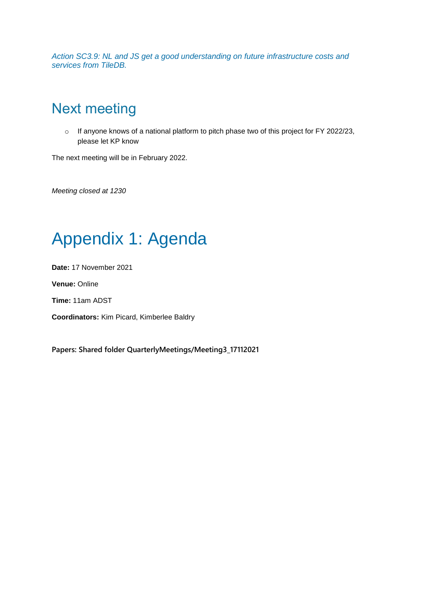*Action SC3.9: NL and JS get a good understanding on future infrastructure costs and services from TileDB.*

## Next meeting

o If anyone knows of a national platform to pitch phase two of this project for FY 2022/23, please let KP know

The next meeting will be in February 2022.

*Meeting closed at 1230*

# Appendix 1: Agenda

**Date:** 17 November 2021

**Venue:** Online

**Time:** 11am ADST

**Coordinators:** Kim Picard, Kimberlee Baldry

**Papers: [Shared folder](https://aus01.safelinks.protection.outlook.com/?url=https%3A%2F%2Fgeoscienceau.sharepoint.com%2F%3Af%3A%2Fr%2Fsites%2FAusSeabed%2FShared%2520Documents%2FGMRT-AusSeabed%2FSteeringCommitteeWorkspace%3Fcsf%3D1%26web%3D1%26e%3DiliNIU&data=04%7C01%7Cpaul.branson%40uwa.edu.au%7Ca217f0c6f7a14f09742708d914402c90%7C05894af0cb2846d8871674cdb46e2226%7C1%7C1%7C637563088130729457%7CUnknown%7CTWFpbGZsb3d8eyJWIjoiMC4wLjAwMDAiLCJQIjoiV2luMzIiLCJBTiI6Ik1haWwiLCJXVCI6Mn0%3D%7C1000&sdata=qI%2BC9NuQnuOqeleR53Hz0l0iN2Jiqy0xAXPzeiPvVqI%3D&reserved=0) QuarterlyMeetings/Meeting3\_17112021**